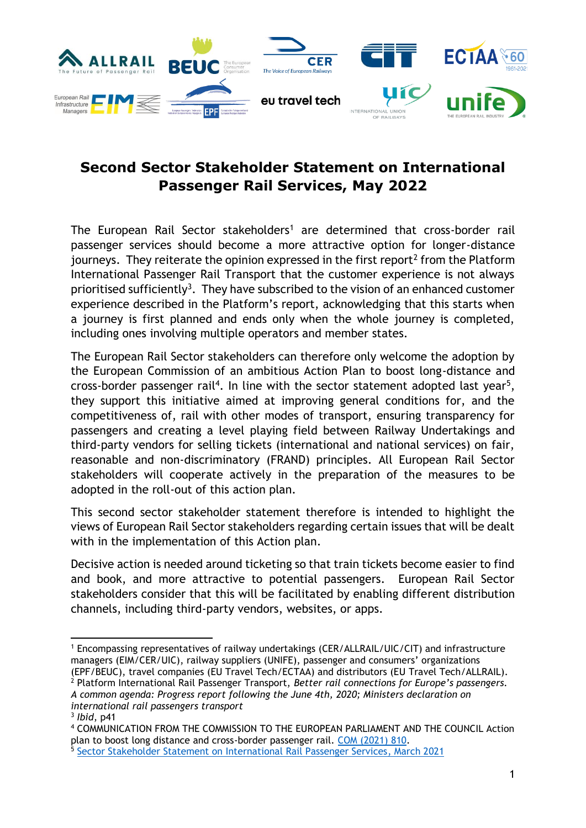

## **Second Sector Stakeholder Statement on International Passenger Rail Services, May 2022**

The European Rail Sector stakeholders<sup>1</sup> are determined that cross-border rail passenger services should become a more attractive option for longer-distance journeys. They reiterate the opinion expressed in the first report<sup>2</sup> from the Platform International Passenger Rail Transport that the customer experience is not always prioritised sufficiently<sup>3</sup>. They have subscribed to the vision of an enhanced customer experience described in the Platform's report, acknowledging that this starts when a journey is first planned and ends only when the whole journey is completed, including ones involving multiple operators and member states.

The European Rail Sector stakeholders can therefore only welcome the adoption by the European Commission of an ambitious Action Plan to boost long-distance and cross-border passenger rail<sup>4</sup>. In line with the sector statement adopted last year<sup>5</sup>, they support this initiative aimed at improving general conditions for, and the competitiveness of, rail with other modes of transport, ensuring transparency for passengers and creating a level playing field between Railway Undertakings and third-party vendors for selling tickets (international and national services) on fair, reasonable and non-discriminatory (FRAND) principles. All European Rail Sector stakeholders will cooperate actively in the preparation of the measures to be adopted in the roll-out of this action plan.

This second sector stakeholder statement therefore is intended to highlight the views of European Rail Sector stakeholders regarding certain issues that will be dealt with in the implementation of this Action plan.

Decisive action is needed around ticketing so that train tickets become easier to find and book, and more attractive to potential passengers. European Rail Sector stakeholders consider that this will be facilitated by enabling different distribution channels, including third-party vendors, websites, or apps.

<sup>1</sup> Encompassing representatives of railway undertakings (CER/ALLRAIL/UIC/CIT) and infrastructure managers (EIM/CER/UIC), railway suppliers (UNIFE), passenger and consumers' organizations (EPF/BEUC), travel companies (EU Travel Tech/ECTAA) and distributors (EU Travel Tech/ALLRAIL).

<sup>2</sup> Platform International Rail Passenger Transport, *Better rail connections for Europe's passengers. A common agenda: Progress report following the June 4th, 2020; Ministers declaration on international rail passengers transport*

<sup>3</sup> *Ibid*, p41

<sup>4</sup> COMMUNICATION FROM THE COMMISSION TO THE EUROPEAN PARLIAMENT AND THE COUNCIL Action plan to boost long distance and cross-border passenger rail. [COM \(2021\) 810.](https://eur-lex.europa.eu/legal-content/EN/TXT/PDF/?uri=CELEX:52021DC0810&from=EN)

<sup>5</sup> [Sector Stakeholder Statement on International Rail Passenger Services,](https://www.cer.be/sites/default/files/publication/21-03-30_Sector%20Statement%20on%20International%20Rail%20Passenger%20Services.pdf) March 2021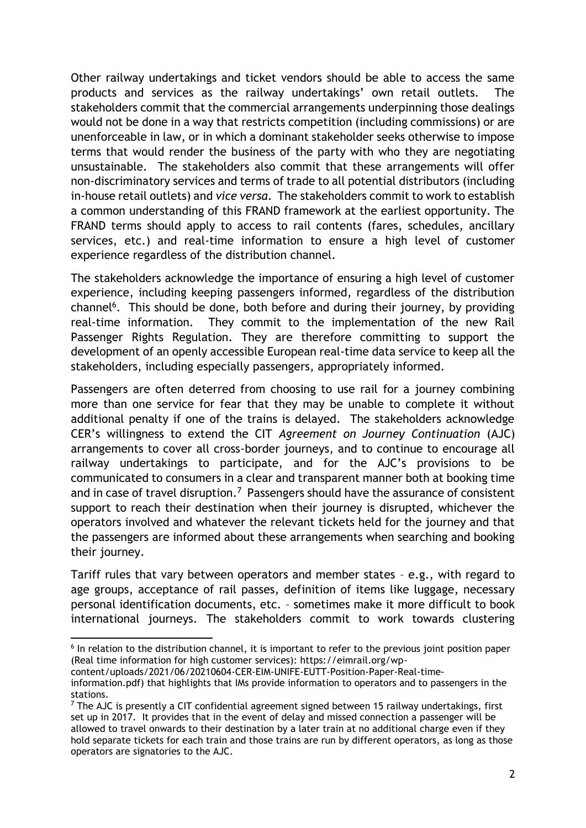Other railway undertakings and ticket vendors should be able to access the same products and services as the railway undertakings' own retail outlets. The stakeholders commit that the commercial arrangements underpinning those dealings would not be done in a way that restricts competition (including commissions) or are unenforceable in law, or in which a dominant stakeholder seeks otherwise to impose terms that would render the business of the party with who they are negotiating unsustainable. The stakeholders also commit that these arrangements will offer non-discriminatory services and terms of trade to all potential distributors (including in-house retail outlets) and *vice versa*. The stakeholders commit to work to establish a common understanding of this FRAND framework at the earliest opportunity. The FRAND terms should apply to access to rail contents (fares, schedules, ancillary services, etc.) and real-time information to ensure a high level of customer experience regardless of the distribution channel.

The stakeholders acknowledge the importance of ensuring a high level of customer experience, including keeping passengers informed, regardless of the distribution channel<sup>6</sup>. This should be done, both before and during their journey, by providing real-time information. They commit to the implementation of the new Rail Passenger Rights Regulation. They are therefore committing to support the development of an openly accessible European real-time data service to keep all the stakeholders, including especially passengers, appropriately informed.

Passengers are often deterred from choosing to use rail for a journey combining more than one service for fear that they may be unable to complete it without additional penalty if one of the trains is delayed. The stakeholders acknowledge CER's willingness to extend the CIT *Agreement on Journey Continuation* (AJC) arrangements to cover all cross-border journeys, and to continue to encourage all railway undertakings to participate, and for the AJC's provisions to be communicated to consumers in a clear and transparent manner both at booking time and in case of travel disruption.<sup>7</sup> Passengers should have the assurance of consistent support to reach their destination when their journey is disrupted, whichever the operators involved and whatever the relevant tickets held for the journey and that the passengers are informed about these arrangements when searching and booking their journey.

Tariff rules that vary between operators and member states – e.g., with regard to age groups, acceptance of rail passes, definition of items like luggage, necessary personal identification documents, etc. – sometimes make it more difficult to book international journeys. The stakeholders commit to work towards clustering

<sup>&</sup>lt;sup>6</sup> In relation to the distribution channel, it is important to refer to the previous joint position paper (Real time information for high customer services): https://eimrail.org/wp-

content/uploads/2021/06/20210604-CER-EIM-UNIFE-EUTT-Position-Paper-Real-time-

information.pdf) that highlights that IMs provide information to operators and to passengers in the stations.

 $7$  The AJC is presently a CIT confidential agreement signed between 15 railway undertakings, first set up in 2017. It provides that in the event of delay and missed connection a passenger will be allowed to travel onwards to their destination by a later train at no additional charge even if they hold separate tickets for each train and those trains are run by different operators, as long as those operators are signatories to the AJC.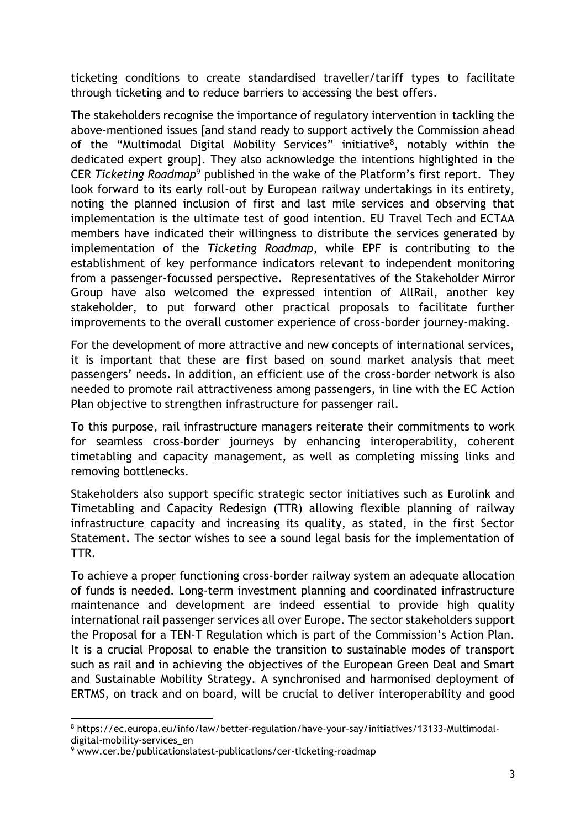ticketing conditions to create standardised traveller/tariff types to facilitate through ticketing and to reduce barriers to accessing the best offers.

The stakeholders recognise the importance of regulatory intervention in tackling the above-mentioned issues [and stand ready to support actively the Commission ahead of the "Multimodal Digital Mobility Services" initiative<sup>8</sup>, notably within the dedicated expert group]. They also acknowledge the intentions highlighted in the CER *Ticketing Roadmap*<sup>9</sup> published in the wake of the Platform's first report. They look forward to its early roll-out by European railway undertakings in its entirety, noting the planned inclusion of first and last mile services and observing that implementation is the ultimate test of good intention. EU Travel Tech and ECTAA members have indicated their willingness to distribute the services generated by implementation of the *Ticketing Roadmap*, while EPF is contributing to the establishment of key performance indicators relevant to independent monitoring from a passenger-focussed perspective. Representatives of the Stakeholder Mirror Group have also welcomed the expressed intention of AllRail, another key stakeholder, to put forward other practical proposals to facilitate further improvements to the overall customer experience of cross-border journey-making.

For the development of more attractive and new concepts of international services, it is important that these are first based on sound market analysis that meet passengers' needs. In addition, an efficient use of the cross-border network is also needed to promote rail attractiveness among passengers, in line with the EC Action Plan objective to strengthen infrastructure for passenger rail.

To this purpose, rail infrastructure managers reiterate their commitments to work for seamless cross-border journeys by enhancing interoperability, coherent timetabling and capacity management, as well as completing missing links and removing bottlenecks.

Stakeholders also support specific strategic sector initiatives such as Eurolink and Timetabling and Capacity Redesign (TTR) allowing flexible planning of railway infrastructure capacity and increasing its quality, as stated, in the first Sector Statement. The sector wishes to see a sound legal basis for the implementation of TTR.

To achieve a proper functioning cross-border railway system an adequate allocation of funds is needed. Long-term investment planning and coordinated infrastructure maintenance and development are indeed essential to provide high quality international rail passenger services all over Europe. The sector stakeholders support the Proposal for a TEN-T Regulation which is part of the Commission's Action Plan. It is a crucial Proposal to enable the transition to sustainable modes of transport such as rail and in achieving the objectives of the European Green Deal and Smart and Sustainable Mobility Strategy. A synchronised and harmonised deployment of ERTMS, on track and on board, will be crucial to deliver interoperability and good

<sup>8</sup> https://ec.europa.eu/info/law/better-regulation/have-your-say/initiatives/13133-Multimodaldigital-mobility-services\_en

<sup>&</sup>lt;sup>9</sup> www.cer.be/publicationslatest-publications/cer-ticketing-roadmap